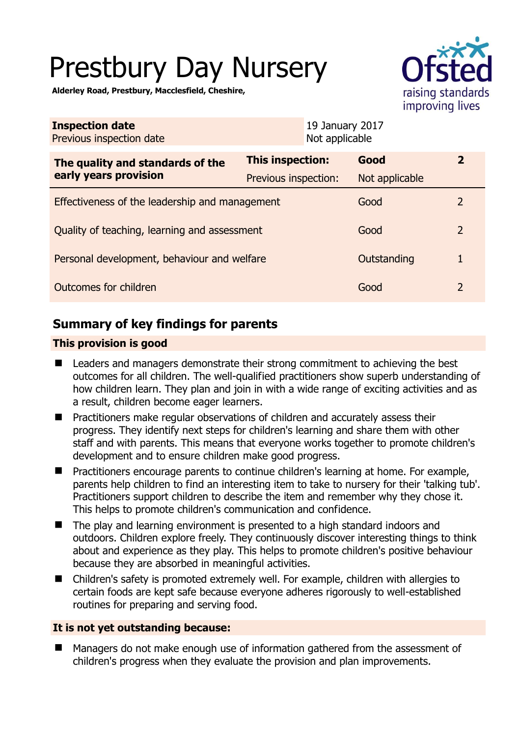# Prestbury Day Nursery

**Alderley Road, Prestbury, Macclesfield, Cheshire,** 

| <b>Service</b>                       |
|--------------------------------------|
| raising standards<br>improving lives |

| <b>Inspection date</b><br>Previous inspection date        |                         |  | 19 January 2017<br>Not applicable |                |
|-----------------------------------------------------------|-------------------------|--|-----------------------------------|----------------|
| The quality and standards of the<br>early years provision | <b>This inspection:</b> |  | Good                              | $\mathbf{2}$   |
|                                                           | Previous inspection:    |  | Not applicable                    |                |
| Effectiveness of the leadership and management            |                         |  | Good                              | $\mathcal{L}$  |
| Quality of teaching, learning and assessment              |                         |  | Good                              | $\overline{2}$ |
| Personal development, behaviour and welfare               |                         |  | Outstanding                       | 1              |
| Outcomes for children                                     |                         |  | Good                              | 2              |

# **Summary of key findings for parents**

## **This provision is good**

- Leaders and managers demonstrate their strong commitment to achieving the best outcomes for all children. The well-qualified practitioners show superb understanding of how children learn. They plan and join in with a wide range of exciting activities and as a result, children become eager learners.
- **Practitioners make regular observations of children and accurately assess their** progress. They identify next steps for children's learning and share them with other staff and with parents. This means that everyone works together to promote children's development and to ensure children make good progress.
- **Practitioners encourage parents to continue children's learning at home. For example,** parents help children to find an interesting item to take to nursery for their 'talking tub'. Practitioners support children to describe the item and remember why they chose it. This helps to promote children's communication and confidence.
- The play and learning environment is presented to a high standard indoors and outdoors. Children explore freely. They continuously discover interesting things to think about and experience as they play. This helps to promote children's positive behaviour because they are absorbed in meaningful activities.
- Children's safety is promoted extremely well. For example, children with allergies to certain foods are kept safe because everyone adheres rigorously to well-established routines for preparing and serving food.

## **It is not yet outstanding because:**

■ Managers do not make enough use of information gathered from the assessment of children's progress when they evaluate the provision and plan improvements.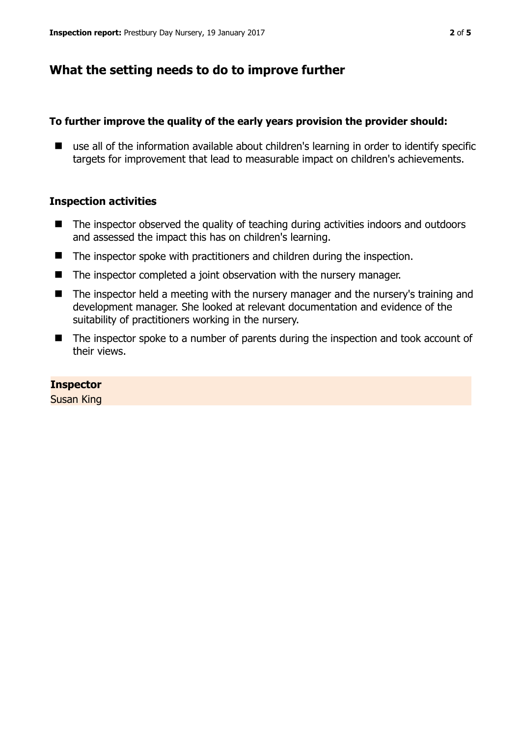# **What the setting needs to do to improve further**

#### **To further improve the quality of the early years provision the provider should:**

■ use all of the information available about children's learning in order to identify specific targets for improvement that lead to measurable impact on children's achievements.

#### **Inspection activities**

- The inspector observed the quality of teaching during activities indoors and outdoors and assessed the impact this has on children's learning.
- The inspector spoke with practitioners and children during the inspection.
- The inspector completed a joint observation with the nursery manager.
- The inspector held a meeting with the nursery manager and the nursery's training and development manager. She looked at relevant documentation and evidence of the suitability of practitioners working in the nursery.
- The inspector spoke to a number of parents during the inspection and took account of their views.

#### **Inspector**

Susan King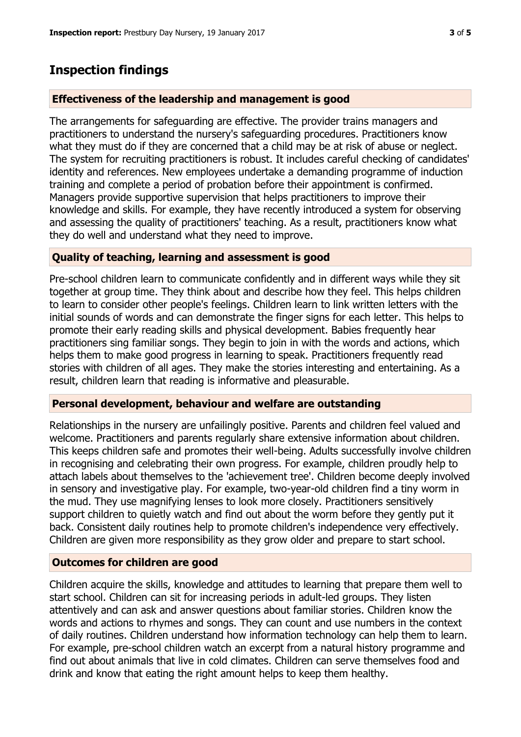# **Inspection findings**

### **Effectiveness of the leadership and management is good**

The arrangements for safeguarding are effective. The provider trains managers and practitioners to understand the nursery's safeguarding procedures. Practitioners know what they must do if they are concerned that a child may be at risk of abuse or neglect. The system for recruiting practitioners is robust. It includes careful checking of candidates' identity and references. New employees undertake a demanding programme of induction training and complete a period of probation before their appointment is confirmed. Managers provide supportive supervision that helps practitioners to improve their knowledge and skills. For example, they have recently introduced a system for observing and assessing the quality of practitioners' teaching. As a result, practitioners know what they do well and understand what they need to improve.

#### **Quality of teaching, learning and assessment is good**

Pre-school children learn to communicate confidently and in different ways while they sit together at group time. They think about and describe how they feel. This helps children to learn to consider other people's feelings. Children learn to link written letters with the initial sounds of words and can demonstrate the finger signs for each letter. This helps to promote their early reading skills and physical development. Babies frequently hear practitioners sing familiar songs. They begin to join in with the words and actions, which helps them to make good progress in learning to speak. Practitioners frequently read stories with children of all ages. They make the stories interesting and entertaining. As a result, children learn that reading is informative and pleasurable.

#### **Personal development, behaviour and welfare are outstanding**

Relationships in the nursery are unfailingly positive. Parents and children feel valued and welcome. Practitioners and parents regularly share extensive information about children. This keeps children safe and promotes their well-being. Adults successfully involve children in recognising and celebrating their own progress. For example, children proudly help to attach labels about themselves to the 'achievement tree'. Children become deeply involved in sensory and investigative play. For example, two-year-old children find a tiny worm in the mud. They use magnifying lenses to look more closely. Practitioners sensitively support children to quietly watch and find out about the worm before they gently put it back. Consistent daily routines help to promote children's independence very effectively. Children are given more responsibility as they grow older and prepare to start school.

## **Outcomes for children are good**

Children acquire the skills, knowledge and attitudes to learning that prepare them well to start school. Children can sit for increasing periods in adult-led groups. They listen attentively and can ask and answer questions about familiar stories. Children know the words and actions to rhymes and songs. They can count and use numbers in the context of daily routines. Children understand how information technology can help them to learn. For example, pre-school children watch an excerpt from a natural history programme and find out about animals that live in cold climates. Children can serve themselves food and drink and know that eating the right amount helps to keep them healthy.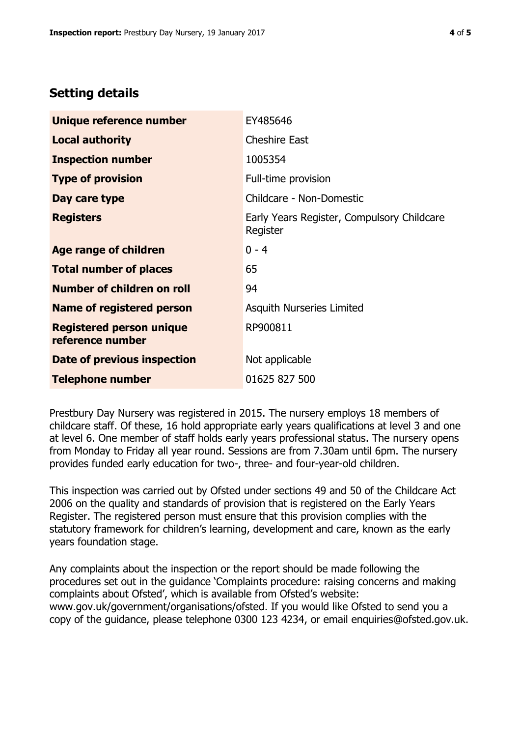# **Setting details**

| Unique reference number                             | EY485646                                               |
|-----------------------------------------------------|--------------------------------------------------------|
| <b>Local authority</b>                              | <b>Cheshire East</b>                                   |
| <b>Inspection number</b>                            | 1005354                                                |
| <b>Type of provision</b>                            | Full-time provision                                    |
| Day care type                                       | Childcare - Non-Domestic                               |
| <b>Registers</b>                                    | Early Years Register, Compulsory Childcare<br>Register |
| Age range of children                               | $0 - 4$                                                |
| <b>Total number of places</b>                       | 65                                                     |
| Number of children on roll                          | 94                                                     |
| <b>Name of registered person</b>                    | Asquith Nurseries Limited                              |
| <b>Registered person unique</b><br>reference number | RP900811                                               |
| Date of previous inspection                         | Not applicable                                         |
| <b>Telephone number</b>                             | 01625 827 500                                          |

Prestbury Day Nursery was registered in 2015. The nursery employs 18 members of childcare staff. Of these, 16 hold appropriate early years qualifications at level 3 and one at level 6. One member of staff holds early years professional status. The nursery opens from Monday to Friday all year round. Sessions are from 7.30am until 6pm. The nursery provides funded early education for two-, three- and four-year-old children.

This inspection was carried out by Ofsted under sections 49 and 50 of the Childcare Act 2006 on the quality and standards of provision that is registered on the Early Years Register. The registered person must ensure that this provision complies with the statutory framework for children's learning, development and care, known as the early years foundation stage.

Any complaints about the inspection or the report should be made following the procedures set out in the guidance 'Complaints procedure: raising concerns and making complaints about Ofsted', which is available from Ofsted's website: www.gov.uk/government/organisations/ofsted. If you would like Ofsted to send you a copy of the guidance, please telephone 0300 123 4234, or email enquiries@ofsted.gov.uk.